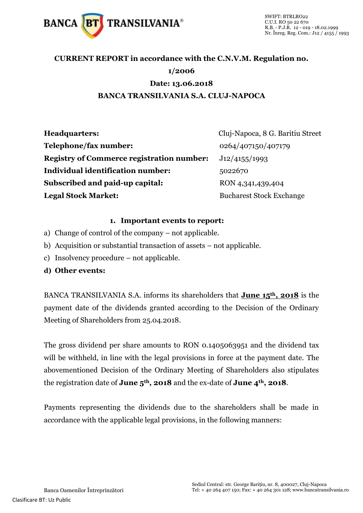

## **CURRENT REPORT in accordance with the C.N.V.M. Regulation no. 1/2006 Date: 13.06.2018 BANCA TRANSILVANIA S.A. CLUJ-NAPOCA**

| <b>Headquarters:</b>                             | Cluj-Napoca, 8 G. Baritiu Street |
|--------------------------------------------------|----------------------------------|
| Telephone/fax number:                            | 0264/407150/407179               |
| <b>Registry of Commerce registration number:</b> | J12/4155/1993                    |
| Individual identification number:                | 5022670                          |
| Subscribed and paid-up capital:                  | RON 4,341,439,404                |
| <b>Legal Stock Market:</b>                       | <b>Bucharest Stock Exchange</b>  |

#### **1. Important events to report:**

- a) Change of control of the company not applicable.
- b) Acquisition or substantial transaction of assets not applicable.
- c) Insolvency procedure not applicable.
- **d) Other events:**

BANCA TRANSILVANIA S.A. informs its shareholders that **June 15th, 2018** is the payment date of the dividends granted according to the Decision of the Ordinary Meeting of Shareholders from 25.04.2018.

The gross dividend per share amounts to RON 0.1405063951 and the dividend tax will be withheld, in line with the legal provisions in force at the payment date. The abovementioned Decision of the Ordinary Meeting of Shareholders also stipulates the registration date of **June 5th, 2018** and the ex-date of **June 4th, 2018**.

Payments representing the dividends due to the shareholders shall be made in accordance with the applicable legal provisions, in the following manners: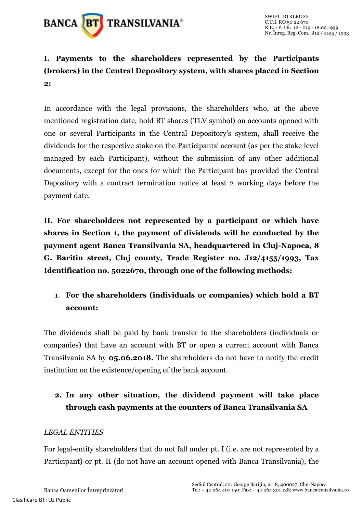

## **I. Payments to the shareholders represented by the Participants (brokers) in the Central Depository system, with shares placed in Section 2:**

In accordance with the legal provisions, the shareholders who, at the above mentioned registration date, hold BT shares (TLV symbol) on accounts opened with one or several Participants in the Central Depository's system, shall receive the dividends for the respective stake on the Participants' account (as per the stake level managed by each Participant), without the submission of any other additional documents, except for the ones for which the Participant has provided the Central Depository with a contract termination notice at least 2 working days before the payment date.

**II. For shareholders not represented by a participant or which have shares in Section 1, the payment of dividends will be conducted by the payment agent Banca Transilvania SA, headquartered in Cluj-Napoca, 8 G. Baritiu street, Cluj county, Trade Register no. J12/4155/1993, Tax Identification no. 5022670, through one of the following methods:** 

#### 1. **For the shareholders (individuals or companies) which hold a BT account:**

The dividends shall be paid by bank transfer to the shareholders (individuals or companies) that have an account with BT or open a current account with Banca Transilvania SA by **05.06.2018.** The shareholders do not have to notify the credit institution on the existence/opening of the bank account.

## **2. In any other situation, the dividend payment will take place through cash payments at the counters of Banca Transilvania SA**

#### *LEGAL ENTITIES*

For legal-entity shareholders that do not fall under pt. I (i.e. are not represented by a Participant) or pt. II (do not have an account opened with Banca Transilvania), the